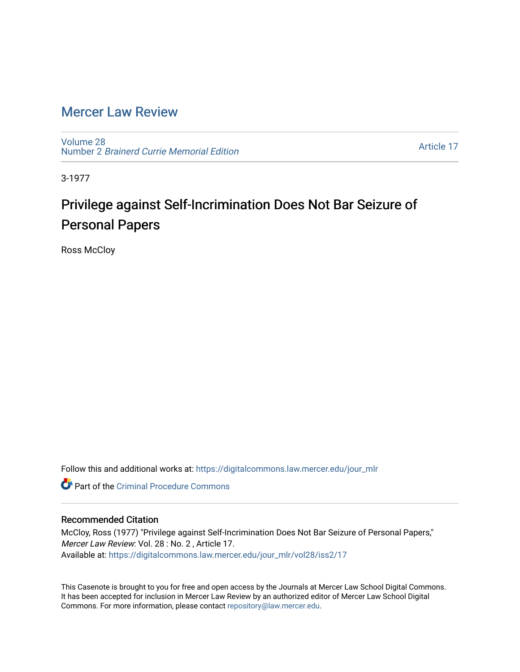## [Mercer Law Review](https://digitalcommons.law.mercer.edu/jour_mlr)

[Volume 28](https://digitalcommons.law.mercer.edu/jour_mlr/vol28) Number 2 [Brainerd Currie Memorial Edition](https://digitalcommons.law.mercer.edu/jour_mlr/vol28/iss2) 

[Article 17](https://digitalcommons.law.mercer.edu/jour_mlr/vol28/iss2/17) 

3-1977

## Privilege against Self-Incrimination Does Not Bar Seizure of Personal Papers

Ross McCloy

Follow this and additional works at: [https://digitalcommons.law.mercer.edu/jour\\_mlr](https://digitalcommons.law.mercer.edu/jour_mlr?utm_source=digitalcommons.law.mercer.edu%2Fjour_mlr%2Fvol28%2Fiss2%2F17&utm_medium=PDF&utm_campaign=PDFCoverPages)

**C** Part of the Criminal Procedure Commons

## Recommended Citation

McCloy, Ross (1977) "Privilege against Self-Incrimination Does Not Bar Seizure of Personal Papers," Mercer Law Review: Vol. 28 : No. 2 , Article 17. Available at: [https://digitalcommons.law.mercer.edu/jour\\_mlr/vol28/iss2/17](https://digitalcommons.law.mercer.edu/jour_mlr/vol28/iss2/17?utm_source=digitalcommons.law.mercer.edu%2Fjour_mlr%2Fvol28%2Fiss2%2F17&utm_medium=PDF&utm_campaign=PDFCoverPages) 

This Casenote is brought to you for free and open access by the Journals at Mercer Law School Digital Commons. It has been accepted for inclusion in Mercer Law Review by an authorized editor of Mercer Law School Digital Commons. For more information, please contact [repository@law.mercer.edu.](mailto:repository@law.mercer.edu)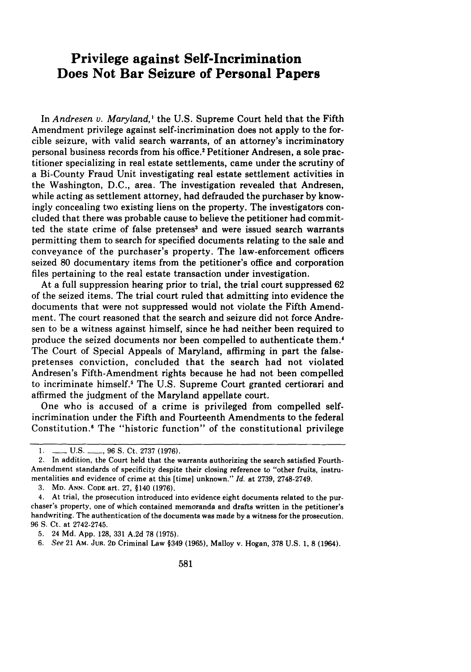## **Privilege against Self-Incrimination Does Not Bar Seizure of Personal Papers**

In *Andresen v. Maryland*,<sup>1</sup> the U.S. Supreme Court held that the Fifth Amendment privilege against self-incrimination does not apply to the forcible seizure, with valid search warrants, of an attorney's incriminatory personal business records from his office.' Petitioner Andresen, a sole practitioner specializing in real estate settlements, came under the scrutiny of a Bi-County Fraud Unit investigating real estate settlement activities in the Washington, D.C., area. The investigation revealed that Andresen, while acting as settlement attorney, had defrauded the purchaser by knowingly concealing two existing liens on the property. The investigators concluded that there was probable cause to believe the petitioner had committed the state crime of false pretenses<sup>3</sup> and were issued search warrants permitting them to search for specified documents relating to the sale and conveyance of the purchaser's property. The law-enforcement officers seized 80 documentary items from the petitioner's office and corporation files pertaining to the real estate transaction under investigation.

At a full suppression hearing prior to trial, the trial court suppressed 62 of the seized items. The trial court ruled that admitting into evidence the documents that were not suppressed would not violate the Fifth Amendment. The court reasoned that the search and seizure did not force Andresen to be a witness against himself, since he had neither been required to produce the seized documents nor been compelled to authenticate them.' The Court of Special Appeals of Maryland, affirming in part the falsepretenses conviction, concluded that the search had not violated Andresen's Fifth-Amendment rights because he had not been compelled to incriminate himself.5 The U.S. Supreme Court granted certiorari and affirmed the judgment of the Maryland appellate court.

One who is accused of a crime is privileged from compelled selfincrimination under the Fifth and Fourteenth Amendments to the federal Constitution.' The "historic function" of the constitutional privilege

**3.** MD. ANN. CODE art, 27, §140 (1976).

5. 24 Md. App. 128, 331 A.2d 78 (1975).

*6. See* 21 AM. JuR. **2D** Criminal Law §349 (1965), Malloy v. Hogan, **378** U.S. 1, **8** (1964).

<sup>1.</sup> **\_\_\_\_** U.S. \_\_\_\_\_, 96 S. Ct. 2737 (1976).

<sup>2.</sup> In addition, the Court held that the warrants authorizing the search satisfied Fourth-Amendment standards of specificity despite their closing reference to "other fruits, instrumentalities and evidence of crime at this [time] unknown." *Id.* at 2739, 2748-2749.

<sup>4.</sup> At trial, the prosecution introduced into evidence eight documents related to the purchaser's property, one of which contained memoranda and drafts written in the petitioner's handwriting. The authentication of the documents was made by a witness for the prosecution. 96 S. Ct. at 2742-2745.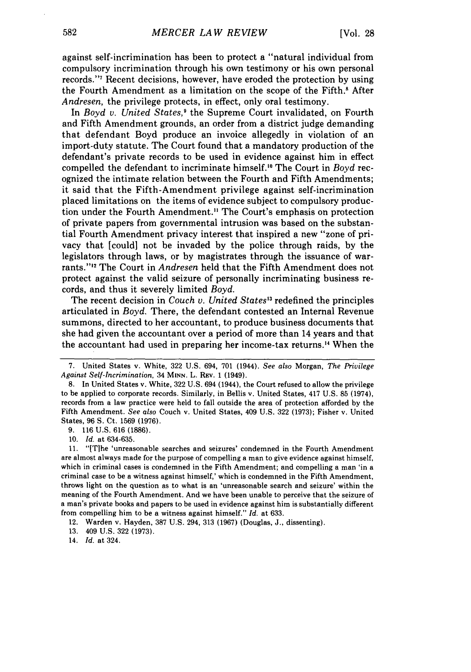against self-incrimination has been to protect a "natural individual from compulsory incrimination through his own testimony or his own personal records."7 Recent decisions, however, have eroded the protection by using the Fourth Amendment as a limitation on the scope of the Fifth.' After *Andresen,* the privilege protects, in effect, only oral testimony.

In *Boyd v. United States,'* the Supreme Court invalidated, on Fourth and Fifth Amendment grounds, an order from a district judge demanding that defendant Boyd produce an invoice allegedly in violation of an import-duty statute. The Court found that a mandatory production of the defendant's private records to be used in evidence against him in effect compelled the defendant to incriminate himself." The Court in *Boyd* recognized the intimate relation between the Fourth and Fifth Amendments; it said that the Fifth-Amendment privilege against self-incrimination placed limitations on the items of evidence subject to compulsory production under the Fourth Amendment." The Court's emphasis on protection of private papers from governmental intrusion was based on the substantial Fourth Amendment privacy interest that inspired a new "zone of privacy that [could] not be invaded by the police through raids, by the legislators through laws, or by magistrates through the issuance of warrants." 3 The Court in *Andresen* held that the Fifth Amendment does not protect against the valid seizure of personally incriminating business records, and thus it severely limited *Boyd.*

The recent decision in *Couch v. United States*<sup>13</sup> redefined the principles articulated in *Boyd.* There, the defendant contested an Internal Revenue summons, directed to her accountant, to produce business documents that she had given the accountant over a period of more than 14 years and that the accountant had used in preparing her income-tax returns.<sup>14</sup> When the

**9. 116 U.S. 616 (1886).**

**13.** 409 **U.S. 322 (1973).**

14. *Id.* at 324.

<sup>7.</sup> United States v. White, 322 U.S. 694, 701 (1944). *See also* Morgan, *The Privilege Against Self-Incrimination,* 34 **MINN.** L. **REV.** 1 (1949).

**<sup>8.</sup>** In United States v. White, 322 **U.S.** 694 (1944), the Court refused to allow the privilege to be applied to corporate records. Similarly, in Bellis v. United States, 417 **U.S. 85** (1974), records from a law practice were held to fall outside the area of protection afforded **by** the Fifth Amendment. *See also* Couch v. United States, 409 **U.S. 322 (1973);** Fisher v. United States, **96 S.** Ct. **1569 (1976).**

**<sup>10.</sup>** *Id.* at **634-635.**

**<sup>11.</sup>** "[The 'unreasonable searches and seizures' condemned in the Fourth Amendment are almost always made for the purpose of compelling a man to give evidence against himself, which in criminal cases is condemned in the Fifth Amendment; and compelling a man 'in a criminal case to be a witness against himself,' which is condemned in the Fifth Amendment, throws light on the question as to what is an 'unreasonable search and seizure' within the meaning of the Fourth Amendment. And we have been unable to perceive that the seizure of a man's private books and papers to be used in evidence against him is substantially different from compelling him to be a witness against himself." *Id.* at **633.**

<sup>12.</sup> Warden v. Hayden, **387 U.S.** 294, **313 (1967)** (Douglas, **J.,** dissenting).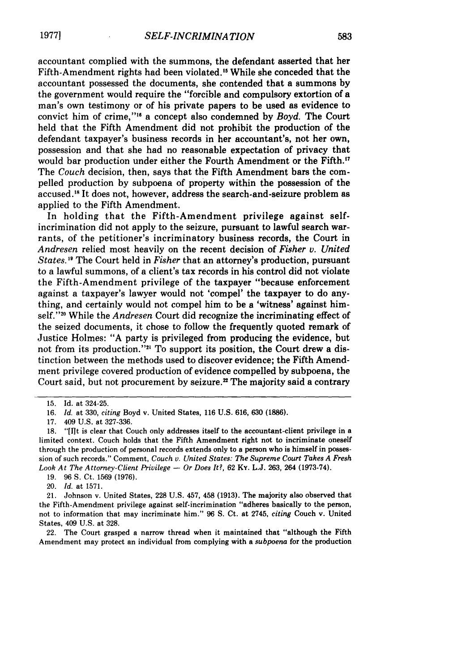accountant complied with the summons, the defendant asserted that her Fifth-Amendment rights had been violated.<sup>15</sup> While she conceded that the accountant possessed the documents, she contended that a summons **by** the government would require the "forcible and compulsory extortion of a man's own testimony or of his private papers to be used as evidence to convict him of crime,"<sup>16</sup> a concept also condemned by *Boyd*. The Court held that the Fifth Amendment did not prohibit the production of the defendant taxpayer's business records in her accountant's, not her own, possession and that she had no reasonable expectation of privacy that would bar production under either the Fourth Amendment or the Fifth.<sup>17</sup> The *Couch* decision, then, says that the Fifth Amendment bars the compelled production by subpoena of property within the possession of the accused.'8 It does not, however, address the search-and-seizure problem as applied to the Fifth Amendment.

In holding that the Fifth-Amendment privilege against selfincrimination did not apply to the seizure, pursuant to lawful search warrants, of the petitioner's incriminatory business records, the Court in *Andresen* relied most heavily on the recent decision of *Fisher v. United States. 9* The Court held in *Fisher* that an attorney's production, pursuant to a lawful summons, of a client's tax records in his control did not violate the Fifth-Amendment privilege of the taxpayer "because enforcement against a taxpayer's lawyer would not 'compel' the taxpayer to do anything, and certainly would not compel him to be a 'witness' against himself."<sup>20</sup> While the *Andresen* Court did recognize the incriminating effect of the seized documents, it chose to follow the frequently quoted remark of Justice Holmes: "A party is privileged from producing the evidence, but not from its production."<sup>21</sup> To support its position, the Court drew a distinction between the methods used to discover evidence; the Fifth Amendment privilege covered production of evidence compelled by subpoena, the Court said, but not procurement by seizure.<sup>22</sup> The majority said a contrary

22. The Court grasped a narrow thread when it maintained that "although the Fifth Amendment may protect an individual from complying with a *subpoena* for the production

<sup>15.</sup> Id. at 324-25.

**<sup>16.</sup>** *Id.* at 330, *citing* Boyd v. United States, **116 U.S. 616, 630 (1886).**

<sup>17. 409</sup> U.S. at 327-336.

<sup>18. &</sup>quot;[lit is clear that Couch only addresses itself to the accountant-client privilege in a limited context. Couch holds that the Fifth Amendment right not to incriminate oneself through the production of personal records extends only to a person who is himself in possession of such records." Comment, *Couch v. United States: The Supreme Court Takes A Fresh Look At The Attorney-Client Privilege - Or Does It?, 62 Ky. L.J. 263, 264 (1973-74).* 

<sup>19. 96</sup> **S.** Ct. 1569 **(1976).**

<sup>20.</sup> *Id.* at 1571.

<sup>21.</sup> Johnson v. United States, 228 U.S. 457, 458 (1913). The majority also observed that the Fifth-Amendment privilege against self-incrimination "adheres basically to the person, not to information that may incriminate him." 96 **S.** Ct. at 2745, *citing* Couch v. United States, 409 U.S. at 328.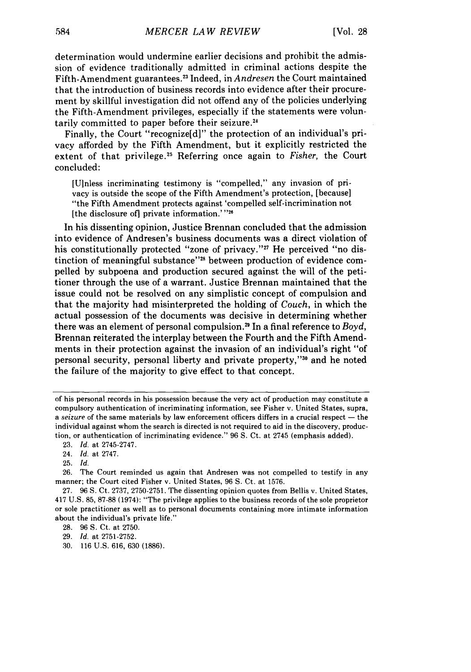determination would undermine earlier decisions and prohibit the admission of evidence traditionally admitted in criminal actions despite the Fifth-Amendment guarantees.23 Indeed, in *Andresen* the Court maintained that the introduction of business records into evidence after their procurement by skillful investigation did not offend any of the policies underlying the Fifth-Amendment privileges, especially if the statements were voluntarily committed to paper before their seizure.<sup>24</sup>

Finally, the Court "recognize[d]" the protection of an individual's privacy afforded by the Fifth Amendment, but it explicitly restricted the extent of that privilege.<sup>25</sup> Referring once again to *Fisher*, the Court concluded:

[Ulnless incriminating testimony is "compelled," any invasion of privacy is outside the scope of the Fifth Amendment's protection, [because] "the Fifth Amendment protects against 'compelled self-incrimination not [the disclosure of] private information.' **"26**

In his dissenting opinion, Justice Brennan concluded that the admission into evidence of Andresen's business documents was a direct violation of his constitutionally protected "zone of privacy."<sup>27</sup> He perceived "no distinction of meaningful substance"<sup>28</sup> between production of evidence compelled by subpoena and production secured against the will of the petitioner through the use of a warrant. Justice Brennan maintained that the issue could not be resolved on any simplistic concept of compulsion and that the majority had misinterpreted the holding of *Couch,* in which the actual possession of the documents was decisive in determining whether there was an element of personal compulsion.<sup>29</sup> In a final reference to *Boyd*, Brennan reiterated the interplay between the Fourth and the Fifth Amendments in their protection against the invasion of an individual's right "of personal security, personal liberty and private property,"<sup>30</sup> and he noted the failure of the majority to give effect to that concept.

of his personal records in his possession because the very act of production may constitute a compulsory authentication of incriminating information, see Fisher v. United States, supra, a seizure of the same materials by law enforcement officers differs in a crucial respect - the individual against whom the search is directed is not required to aid in the discovery, production, or authentication of incriminating evidence." 96 S. Ct. at 2745 (emphasis added).

<sup>23.</sup> *Id.* at 2745-2747.

<sup>24.</sup> *Id.* at 2747.

<sup>25.</sup> *Id.*

<sup>26.</sup> The Court reminded us again that Andresen was not compelled to testify in any manner; the Court cited Fisher v. United States, 96 S. Ct. at 1576.

<sup>27. 96</sup> **S.** Ct. 2737, 2750-2751. The dissenting opinion quotes from Bellis v. United States, 417 U.S. 85, 87-88 (1974): "The privilege applies to the business records of the sole proprietor or sole practitioner as well as to personal documents containing more intimate information about the individual's private life."

<sup>28. 96</sup> **S.** Ct. at 2750.

<sup>29.</sup> *Id.* at 2751-2752.

<sup>30. 116</sup> U.S. 616, 630 (1886).